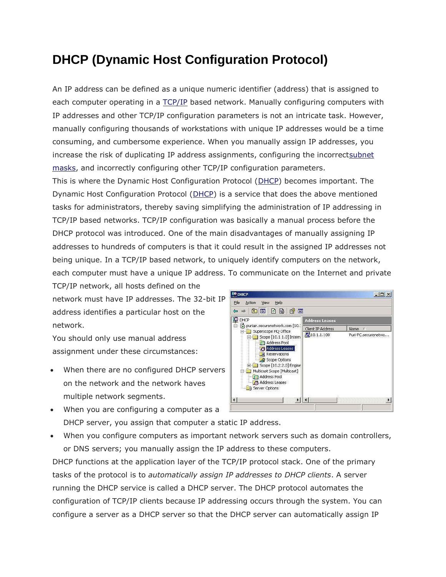### **DHCP (Dynamic Host Configuration Protocol)**

An IP address can be defined as a unique numeric identifier (address) that is assigned to each computer operating in a [TCP/IP](http://www.tech-faq.com/tcp-ip.html) based network. Manually configuring computers with IP addresses and other TCP/IP configuration parameters is not an intricate task. However, manually configuring thousands of workstations with unique IP addresses would be a time consuming, and cumbersome experience. When you manually assign IP addresses, you increase the risk of duplicating IP address assignments, configuring the incorrec[tsubnet](http://www.tech-faq.com/subnet-mask.html)  [masks,](http://www.tech-faq.com/subnet-mask.html) and incorrectly configuring other TCP/IP configuration parameters.

This is where the Dynamic Host Configuration Protocol [\(DHCP\)](http://www.tech-faq.com/dhcp.html) becomes important. The Dynamic Host Configuration Protocol [\(DHCP\)](http://www.tech-faq.com/dhcp.html) is a service that does the above mentioned tasks for administrators, thereby saving simplifying the administration of IP addressing in TCP/IP based networks. TCP/IP configuration was basically a manual process before the DHCP protocol was introduced. One of the main disadvantages of manually assigning IP addresses to hundreds of computers is that it could result in the assigned IP addresses not being unique. In a TCP/IP based network, to uniquely identify computers on the network, each computer must have a unique IP address. To communicate on the Internet and private

TCP/IP network, all hosts defined on the network must have IP addresses. The 32-bit IP address identifies a particular host on the network.

You should only use manual address assignment under these circumstances:

- When there are no configured DHCP servers on the network and the network haves multiple network segments.
- **EO DHCP**  $|D| \times |$ File Action View Help  $\Leftrightarrow \ \ +\vert \ \text{in} \ \ \vert \ \text{in} \ \ \vert \ \text{in} \ \ \vert \ \text{in} \ \ \vert \ \text{in}$ **P** DHCP Address Leases puriair.securenetwork.com [10, Client IP Address Name / Superscope HQ Office  $\frac{1}{2}10.1.1.100$ Puri-PC.securenetwo...  $\Box$  Scope [10.1.1.0] Inter Address Pool **O** Address Leases Reservations Scope Options El Scope [10.2.2.0] Engin **E-C Multicast Scope [Multicast]** Address Pool Address Leases **B** Server Options  $\bullet$
- When you are configuring a computer as a DHCP server, you assign that computer a static IP address.
- When you configure computers as important network servers such as domain controllers, or DNS servers; you manually assign the IP address to these computers.

DHCP functions at the application layer of the TCP/IP protocol stack. One of the primary tasks of the protocol is to *automatically assign IP addresses to DHCP clients*. A server running the DHCP service is called a DHCP server. The DHCP protocol automates the configuration of TCP/IP clients because IP addressing occurs through the system. You can configure a server as a DHCP server so that the DHCP server can automatically assign IP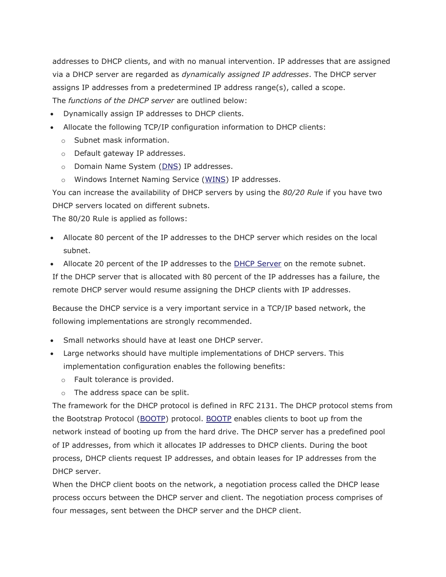addresses to DHCP clients, and with no manual intervention. IP addresses that are assigned via a DHCP server are regarded as *dynamically assigned IP addresses*. The DHCP server assigns IP addresses from a predetermined IP address range(s), called a scope. The *functions of the DHCP server* are outlined below:

- Dynamically assign IP addresses to DHCP clients.
- Allocate the following TCP/IP configuration information to DHCP clients:
	- o Subnet mask information.
	- o Default gateway IP addresses.
	- o Domain Name System [\(DNS\)](http://www.tech-faq.com/what-is-dns.html) IP addresses.
	- o Windows Internet Naming Service [\(WINS\)](http://www.tech-faq.com/microsoft-wins) IP addresses.

You can increase the availability of DHCP servers by using the *80/20 Rule* if you have two DHCP servers located on different subnets.

The 80/20 Rule is applied as follows:

- Allocate 80 percent of the IP addresses to the DHCP server which resides on the local subnet.
- Allocate 20 percent of the IP addresses to the **[DHCP Server](http://www.tech-faq.com/dhcp-server.html)** on the remote subnet. If the DHCP server that is allocated with 80 percent of the IP addresses has a failure, the remote DHCP server would resume assigning the DHCP clients with IP addresses.

Because the DHCP service is a very important service in a TCP/IP based network, the following implementations are strongly recommended.

- Small networks should have at least one DHCP server.
- Large networks should have multiple implementations of DHCP servers. This implementation configuration enables the following benefits:
	- o Fault tolerance is provided.
	- o The address space can be split.

The framework for the DHCP protocol is defined in RFC 2131. The DHCP protocol stems from the Bootstrap Protocol [\(BOOTP\)](http://www.tech-faq.com/bootp.html) protocol. [BOOTP](http://www.tech-faq.com/bootp.html) enables clients to boot up from the network instead of booting up from the hard drive. The DHCP server has a predefined pool of IP addresses, from which it allocates IP addresses to DHCP clients. During the boot process, DHCP clients request IP addresses, and obtain leases for IP addresses from the DHCP server.

When the DHCP client boots on the network, a negotiation process called the DHCP lease process occurs between the DHCP server and client. The negotiation process comprises of four messages, sent between the DHCP server and the DHCP client.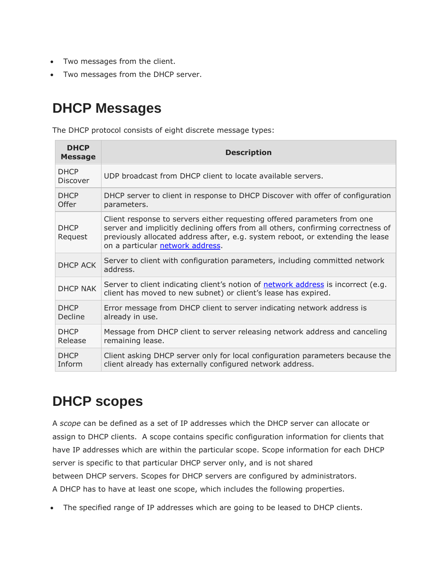- Two messages from the client.
- Two messages from the DHCP server.

## **DHCP Messages**

The DHCP protocol consists of eight discrete message types:

| <b>DHCP</b><br><b>Message</b> | <b>Description</b>                                                                                                                                                                                                                                                                  |
|-------------------------------|-------------------------------------------------------------------------------------------------------------------------------------------------------------------------------------------------------------------------------------------------------------------------------------|
| <b>DHCP</b><br>Discover       | UDP broadcast from DHCP client to locate available servers.                                                                                                                                                                                                                         |
| <b>DHCP</b><br>Offer          | DHCP server to client in response to DHCP Discover with offer of configuration<br>parameters.                                                                                                                                                                                       |
| <b>DHCP</b><br>Request        | Client response to servers either requesting offered parameters from one<br>server and implicitly declining offers from all others, confirming correctness of<br>previously allocated address after, e.g. system reboot, or extending the lease<br>on a particular network address. |
| <b>DHCP ACK</b>               | Server to client with configuration parameters, including committed network<br>address.                                                                                                                                                                                             |
| <b>DHCP NAK</b>               | Server to client indicating client's notion of network address is incorrect (e.g.<br>client has moved to new subnet) or client's lease has expired.                                                                                                                                 |
| <b>DHCP</b><br>Decline        | Error message from DHCP client to server indicating network address is<br>already in use.                                                                                                                                                                                           |
| <b>DHCP</b><br>Release        | Message from DHCP client to server releasing network address and canceling<br>remaining lease.                                                                                                                                                                                      |
| <b>DHCP</b><br>Inform         | Client asking DHCP server only for local configuration parameters because the<br>client already has externally configured network address.                                                                                                                                          |

## **DHCP scopes**

A *scope* can be defined as a set of IP addresses which the DHCP server can allocate or assign to DHCP clients. A scope contains specific configuration information for clients that have IP addresses which are within the particular scope. Scope information for each DHCP server is specific to that particular DHCP server only, and is not shared between DHCP servers. Scopes for DHCP servers are configured by administrators. A DHCP has to have at least one scope, which includes the following properties.

The specified range of IP addresses which are going to be leased to DHCP clients.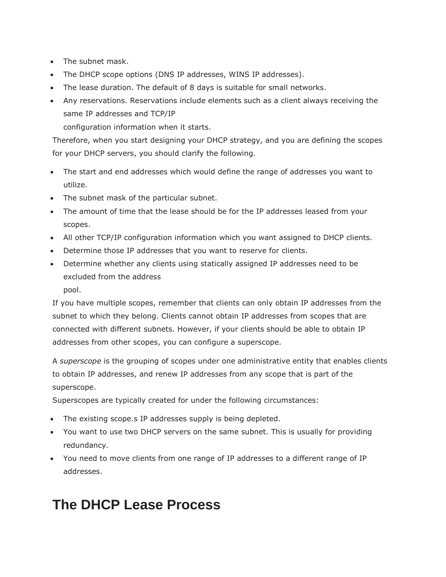- The subnet mask.
- The DHCP scope options (DNS IP addresses, WINS IP addresses).
- The lease duration. The default of 8 days is suitable for small networks.
- Any reservations. Reservations include elements such as a client always receiving the same IP addresses and TCP/IP

configuration information when it starts.

Therefore, when you start designing your DHCP strategy, and you are defining the scopes for your DHCP servers, you should clarify the following.

- The start and end addresses which would define the range of addresses you want to utilize.
- The subnet mask of the particular subnet.
- The amount of time that the lease should be for the IP addresses leased from your scopes.
- All other TCP/IP configuration information which you want assigned to DHCP clients.
- Determine those IP addresses that you want to reserve for clients.
- Determine whether any clients using statically assigned IP addresses need to be excluded from the address

pool.

If you have multiple scopes, remember that clients can only obtain IP addresses from the subnet to which they belong. Clients cannot obtain IP addresses from scopes that are connected with different subnets. However, if your clients should be able to obtain IP addresses from other scopes, you can configure a superscope.

A *superscope* is the grouping of scopes under one administrative entity that enables clients to obtain IP addresses, and renew IP addresses from any scope that is part of the superscope.

Superscopes are typically created for under the following circumstances:

- The existing scope.s IP addresses supply is being depleted.
- You want to use two DHCP servers on the same subnet. This is usually for providing redundancy.
- You need to move clients from one range of IP addresses to a different range of IP addresses.

## **The DHCP Lease Process**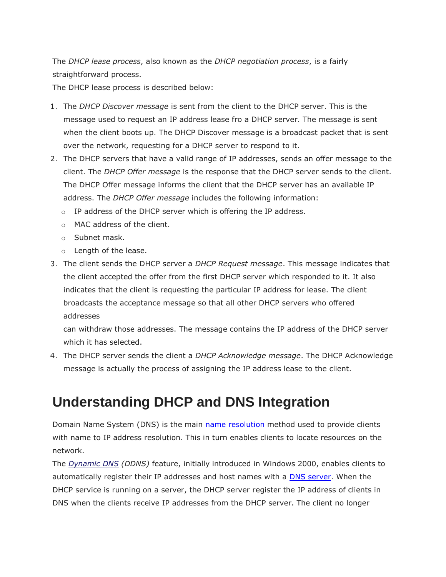The *DHCP lease process*, also known as the *DHCP negotiation process*, is a fairly straightforward process.

The DHCP lease process is described below:

- 1. The *DHCP Discover message* is sent from the client to the DHCP server. This is the message used to request an IP address lease fro a DHCP server. The message is sent when the client boots up. The DHCP Discover message is a broadcast packet that is sent over the network, requesting for a DHCP server to respond to it.
- 2. The DHCP servers that have a valid range of IP addresses, sends an offer message to the client. The *DHCP Offer message* is the response that the DHCP server sends to the client. The DHCP Offer message informs the client that the DHCP server has an available IP address. The *DHCP Offer message* includes the following information:
	- o IP address of the DHCP server which is offering the IP address.
	- o MAC address of the client.
	- o Subnet mask.
	- o Length of the lease.
- 3. The client sends the DHCP server a *DHCP Request message*. This message indicates that the client accepted the offer from the first DHCP server which responded to it. It also indicates that the client is requesting the particular IP address for lease. The client broadcasts the acceptance message so that all other DHCP servers who offered addresses

can withdraw those addresses. The message contains the IP address of the DHCP server which it has selected.

4. The DHCP server sends the client a *DHCP Acknowledge message*. The DHCP Acknowledge message is actually the process of assigning the IP address lease to the client.

## **Understanding DHCP and DNS Integration**

Domain Name System (DNS) is the main name [resolution](http://www.tech-faq.com/dhcp.html) method used to provide clients with name to IP address resolution. This in turn enables clients to locate resources on the network.

The *[Dynamic DNS](http://www.tech-faq.com/dynamic-dns.html) (DDNS)* feature, initially introduced in Windows 2000, enables clients to automatically register their IP addresses and host names with a DNS [server.](http://www.tech-faq.com/dhcp.html) When the DHCP service is running on a server, the DHCP server register the IP address of clients in DNS when the clients receive IP addresses from the DHCP server. The client no longer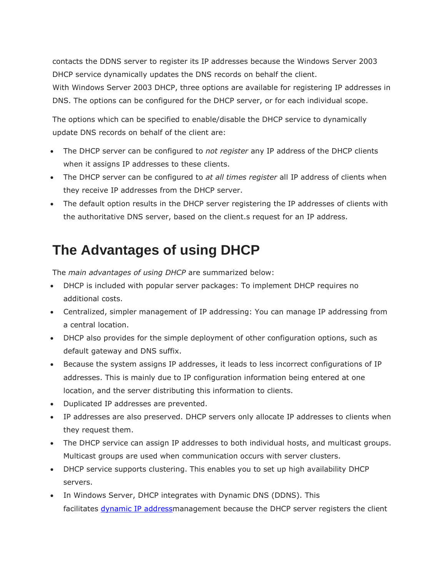contacts the DDNS server to register its IP addresses because the Windows Server 2003 DHCP service dynamically updates the DNS records on behalf the client. With Windows Server 2003 DHCP, three options are available for registering IP addresses in DNS. The options can be configured for the DHCP server, or for each individual scope.

The options which can be specified to enable/disable the DHCP service to dynamically update DNS records on behalf of the client are:

- The DHCP server can be configured to *not register* any IP address of the DHCP clients when it assigns IP addresses to these clients.
- The DHCP server can be configured to *at all times register* all IP address of clients when they receive IP addresses from the DHCP server.
- The default option results in the DHCP server registering the IP addresses of clients with the authoritative DNS server, based on the client.s request for an IP address.

## **The Advantages of using DHCP**

The *main advantages of using DHCP* are summarized below:

- DHCP is included with popular server packages: To implement DHCP requires no additional costs.
- Centralized, simpler management of IP addressing: You can manage IP addressing from a central location.
- DHCP also provides for the simple deployment of other configuration options, such as default gateway and DNS suffix.
- Because the system assigns IP addresses, it leads to less incorrect configurations of IP addresses. This is mainly due to IP configuration information being entered at one location, and the server distributing this information to clients.
- Duplicated IP addresses are prevented.
- IP addresses are also preserved. DHCP servers only allocate IP addresses to clients when they request them.
- The DHCP service can assign IP addresses to both individual hosts, and multicast groups. Multicast groups are used when communication occurs with server clusters.
- DHCP service supports clustering. This enables you to set up high availability DHCP servers.
- In Windows Server, DHCP integrates with Dynamic DNS (DDNS). This facilitates [dynamic](http://www.tech-faq.com/dhcp.html) IP addressmanagement because the DHCP server registers the client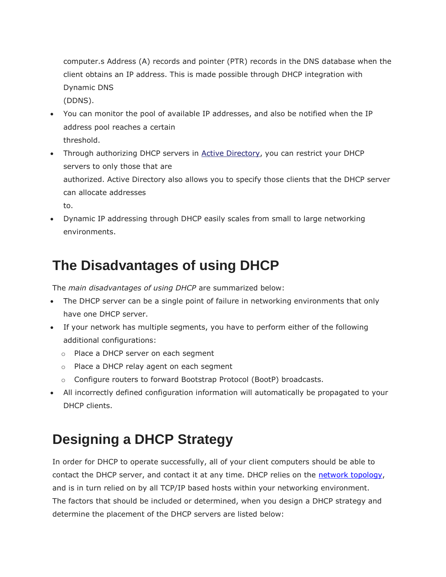computer.s Address (A) records and pointer (PTR) records in the DNS database when the client obtains an IP address. This is made possible through DHCP integration with Dynamic DNS (DDNS).

- You can monitor the pool of available IP addresses, and also be notified when the IP address pool reaches a certain threshold.
- Through authorizing DHCP servers in [Active Directory,](http://www.tech-faq.com/active-directory.html) you can restrict your DHCP servers to only those that are authorized. Active Directory also allows you to specify those clients that the DHCP server can allocate addresses to.
- Dynamic IP addressing through DHCP easily scales from small to large networking environments.

## **The Disadvantages of using DHCP**

The *main disadvantages of using DHCP* are summarized below:

- The DHCP server can be a single point of failure in networking environments that only have one DHCP server.
- If your network has multiple segments, you have to perform either of the following additional configurations:
	- o Place a DHCP server on each segment
	- o Place a DHCP relay agent on each segment
	- o Configure routers to forward Bootstrap Protocol (BootP) broadcasts.
- All incorrectly defined configuration information will automatically be propagated to your DHCP clients.

# **Designing a DHCP Strategy**

In order for DHCP to operate successfully, all of your client computers should be able to contact the DHCP server, and contact it at any time. DHCP relies on the network [topology,](http://www.tech-faq.com/dhcp.html) and is in turn relied on by all TCP/IP based hosts within your networking environment. The factors that should be included or determined, when you design a DHCP strategy and determine the placement of the DHCP servers are listed below: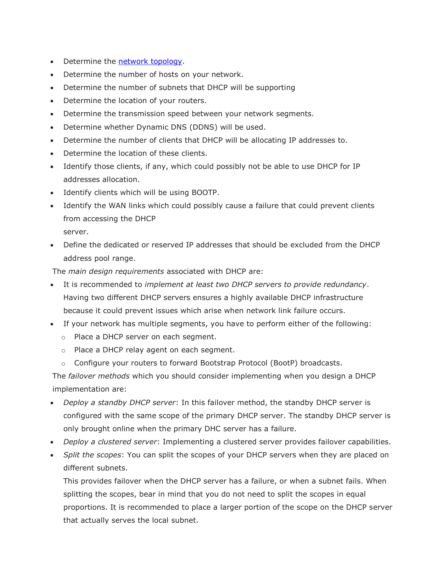- Determine the network [topology.](http://www.tech-faq.com/dhcp.html)
- Determine the number of hosts on your network.
- Determine the number of subnets that DHCP will be supporting
- Determine the location of your routers.
- Determine the transmission speed between your network segments.
- Determine whether Dynamic DNS (DDNS) will be used.
- Determine the number of clients that DHCP will be allocating IP addresses to.
- Determine the location of these clients.
- Identify those clients, if any, which could possibly not be able to use DHCP for IP addresses allocation.
- Identify clients which will be using BOOTP.
- Identify the WAN links which could possibly cause a failure that could prevent clients from accessing the DHCP server.
- Define the dedicated or reserved IP addresses that should be excluded from the DHCP address pool range.

The *main design requirements* associated with DHCP are:

- It is recommended to *implement at least two DHCP servers to provide redundancy*. Having two different DHCP servers ensures a highly available DHCP infrastructure because it could prevent issues which arise when network link failure occurs.
- If your network has multiple segments, you have to perform either of the following:
	- o Place a DHCP server on each segment.
	- o Place a DHCP relay agent on each segment.
	- o Configure your routers to forward Bootstrap Protocol (BootP) broadcasts.

The *failover methods* which you should consider implementing when you design a DHCP implementation are:

- *Deploy a standby DHCP server*: In this failover method, the standby DHCP server is configured with the same scope of the primary DHCP server. The standby DHCP server is only brought online when the primary DHC server has a failure.
- *Deploy a clustered server*: Implementing a clustered server provides failover capabilities.
- *Split the scopes*: You can split the scopes of your DHCP servers when they are placed on different subnets.

This provides failover when the DHCP server has a failure, or when a subnet fails. When splitting the scopes, bear in mind that you do not need to split the scopes in equal proportions. It is recommended to place a larger portion of the scope on the DHCP server that actually serves the local subnet.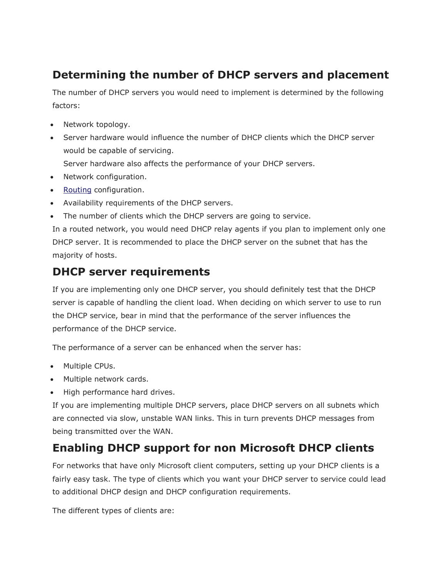#### **Determining the number of DHCP servers and placement**

The number of DHCP servers you would need to implement is determined by the following factors:

- Network topology.
- Server hardware would influence the number of DHCP clients which the DHCP server would be capable of servicing.
	- Server hardware also affects the performance of your DHCP servers.
- Network configuration.
- [Routing](http://www.tech-faq.com/routing.html) configuration.
- Availability requirements of the DHCP servers.
- The number of clients which the DHCP servers are going to service.

In a routed network, you would need DHCP relay agents if you plan to implement only one DHCP server. It is recommended to place the DHCP server on the subnet that has the majority of hosts.

#### **DHCP server requirements**

If you are implementing only one DHCP server, you should definitely test that the DHCP server is capable of handling the client load. When deciding on which server to use to run the DHCP service, bear in mind that the performance of the server influences the performance of the DHCP service.

The performance of a server can be enhanced when the server has:

- Multiple CPUs.
- Multiple network cards.
- High performance hard drives.

If you are implementing multiple DHCP servers, place DHCP servers on all subnets which are connected via slow, unstable WAN links. This in turn prevents DHCP messages from being transmitted over the WAN.

### **Enabling DHCP support for non Microsoft DHCP clients**

For networks that have only Microsoft client computers, setting up your DHCP clients is a fairly easy task. The type of clients which you want your DHCP server to service could lead to additional DHCP design and DHCP configuration requirements.

The different types of clients are: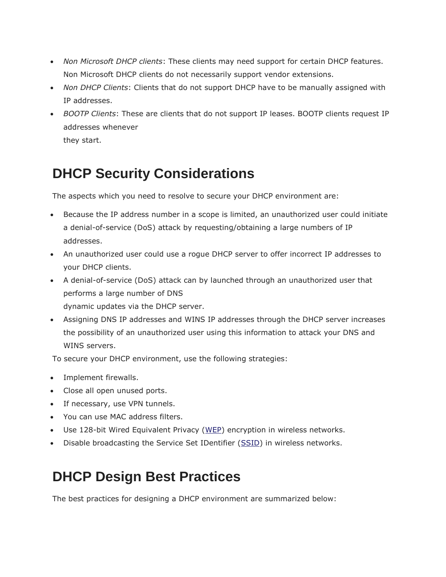- *Non Microsoft DHCP clients*: These clients may need support for certain DHCP features. Non Microsoft DHCP clients do not necessarily support vendor extensions.
- *Non DHCP Clients*: Clients that do not support DHCP have to be manually assigned with IP addresses.
- *BOOTP Clients*: These are clients that do not support IP leases. BOOTP clients request IP addresses whenever they start.

## **DHCP Security Considerations**

The aspects which you need to resolve to secure your DHCP environment are:

- Because the IP address number in a scope is limited, an unauthorized user could initiate a denial-of-service (DoS) attack by requesting/obtaining a large numbers of IP addresses.
- An unauthorized user could use a rogue DHCP server to offer incorrect IP addresses to your DHCP clients.
- A denial-of-service (DoS) attack can by launched through an unauthorized user that performs a large number of DNS dynamic updates via the DHCP server.
- Assigning DNS IP addresses and WINS IP addresses through the DHCP server increases the possibility of an unauthorized user using this information to attack your DNS and WINS servers.

To secure your DHCP environment, use the following strategies:

- Implement firewalls.
- Close all open unused ports.
- If necessary, use VPN tunnels.
- You can use MAC address filters.
- Use 128-bit Wired Equivalent Privacy [\(WEP\)](http://www.tech-faq.com/not-found) encryption in wireless networks.
- Disable broadcasting the Service Set IDentifier [\(SSID\)](http://www.tech-faq.com/ssid.html) in wireless networks.

## **DHCP Design Best Practices**

The best practices for designing a DHCP environment are summarized below: